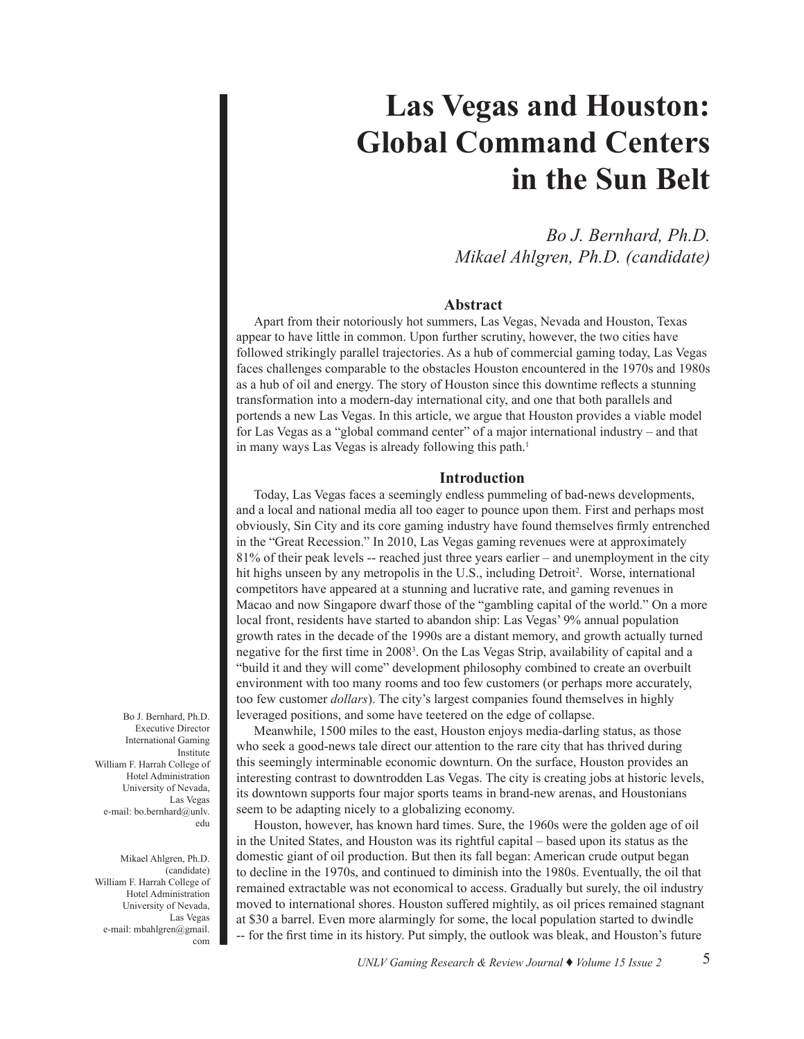# **Las Vegas and Houston: Global Command Centers in the Sun Belt**

*Bo J. Bernhard, Ph.D. Mikael Ahlgren, Ph.D. (candidate)*

# **Abstract**

Apart from their notoriously hot summers, Las Vegas, Nevada and Houston, Texas appear to have little in common. Upon further scrutiny, however, the two cities have followed strikingly parallel trajectories. As a hub of commercial gaming today, Las Vegas faces challenges comparable to the obstacles Houston encountered in the 1970s and 1980s as a hub of oil and energy. The story of Houston since this downtime reflects a stunning transformation into a modern-day international city, and one that both parallels and portends a new Las Vegas. In this article, we argue that Houston provides a viable model for Las Vegas as a "global command center" of a major international industry – and that in many ways Las Vegas is already following this path.<sup>1</sup>

### **Introduction**

Today, Las Vegas faces a seemingly endless pummeling of bad-news developments, and a local and national media all too eager to pounce upon them. First and perhaps most obviously, Sin City and its core gaming industry have found themselves firmly entrenched in the "Great Recession." In 2010, Las Vegas gaming revenues were at approximately 81% of their peak levels -- reached just three years earlier – and unemployment in the city hit highs unseen by any metropolis in the U.S., including Detroit<sup>2</sup>. Worse, international competitors have appeared at a stunning and lucrative rate, and gaming revenues in Macao and now Singapore dwarf those of the "gambling capital of the world." On a more local front, residents have started to abandon ship: Las Vegas' 9% annual population growth rates in the decade of the 1990s are a distant memory, and growth actually turned negative for the first time in 2008<sup>3</sup> . On the Las Vegas Strip, availability of capital and a "build it and they will come" development philosophy combined to create an overbuilt environment with too many rooms and too few customers (or perhaps more accurately, too few customer *dollars*). The city's largest companies found themselves in highly leveraged positions, and some have teetered on the edge of collapse.

Meanwhile, 1500 miles to the east, Houston enjoys media-darling status, as those who seek a good-news tale direct our attention to the rare city that has thrived during this seemingly interminable economic downturn. On the surface, Houston provides an interesting contrast to downtrodden Las Vegas. The city is creating jobs at historic levels, its downtown supports four major sports teams in brand-new arenas, and Houstonians seem to be adapting nicely to a globalizing economy.

Houston, however, has known hard times. Sure, the 1960s were the golden age of oil in the United States, and Houston was its rightful capital – based upon its status as the domestic giant of oil production. But then its fall began: American crude output began to decline in the 1970s, and continued to diminish into the 1980s. Eventually, the oil that remained extractable was not economical to access. Gradually but surely, the oil industry moved to international shores. Houston suffered mightily, as oil prices remained stagnant at \$30 a barrel. Even more alarmingly for some, the local population started to dwindle -- for the first time in its history. Put simply, the outlook was bleak, and Houston's future

Bo J. Bernhard, Ph.D. Executive Director International Gaming Institute William F. Harrah College of Hotel Administration University of Nevada, Las Vegas e-mail: bo.bernhard@unly. edu

Mikael Ahlgren, Ph.D. (candidate) William F. Harrah College of Hotel Administration University of Nevada, Las Vegas e-mail: mbahlgren@gmail. com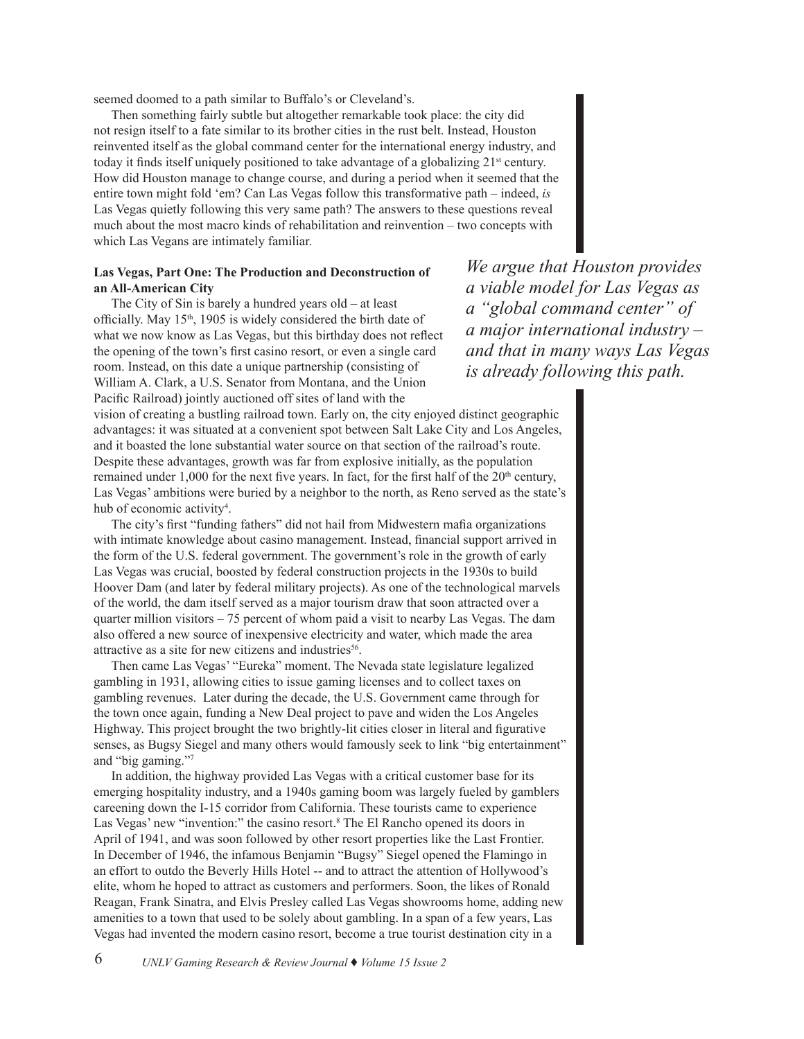seemed doomed to a path similar to Buffalo's or Cleveland's.

Then something fairly subtle but altogether remarkable took place: the city did not resign itself to a fate similar to its brother cities in the rust belt. Instead, Houston reinvented itself as the global command center for the international energy industry, and today it finds itself uniquely positioned to take advantage of a globalizing  $21^{st}$  century. How did Houston manage to change course, and during a period when it seemed that the entire town might fold 'em? Can Las Vegas follow this transformative path – indeed, *is*  Las Vegas quietly following this very same path? The answers to these questions reveal much about the most macro kinds of rehabilitation and reinvention – two concepts with which Las Vegans are intimately familiar.

# **Las Vegas, Part One: The Production and Deconstruction of an All-American City**

The City of Sin is barely a hundred years old – at least officially. May 15th, 1905 is widely considered the birth date of what we now know as Las Vegas, but this birthday does not reflect the opening of the town's first casino resort, or even a single card room. Instead, on this date a unique partnership (consisting of William A. Clark, a U.S. Senator from Montana, and the Union Pacific Railroad) jointly auctioned off sites of land with the

*We argue that Houston provides a viable model for Las Vegas as a "global command center" of a major international industry – and that in many ways Las Vegas is already following this path.* 

vision of creating a bustling railroad town. Early on, the city enjoyed distinct geographic advantages: it was situated at a convenient spot between Salt Lake City and Los Angeles, and it boasted the lone substantial water source on that section of the railroad's route. Despite these advantages, growth was far from explosive initially, as the population remained under 1,000 for the next five years. In fact, for the first half of the  $20<sup>th</sup>$  century, Las Vegas' ambitions were buried by a neighbor to the north, as Reno served as the state's hub of economic activity<sup>4</sup>.

The city's first "funding fathers" did not hail from Midwestern mafia organizations with intimate knowledge about casino management. Instead, financial support arrived in the form of the U.S. federal government. The government's role in the growth of early Las Vegas was crucial, boosted by federal construction projects in the 1930s to build Hoover Dam (and later by federal military projects). As one of the technological marvels of the world, the dam itself served as a major tourism draw that soon attracted over a quarter million visitors – 75 percent of whom paid a visit to nearby Las Vegas. The dam also offered a new source of inexpensive electricity and water, which made the area attractive as a site for new citizens and industries<sup>56</sup>.

Then came Las Vegas' "Eureka" moment. The Nevada state legislature legalized gambling in 1931, allowing cities to issue gaming licenses and to collect taxes on gambling revenues. Later during the decade, the U.S. Government came through for the town once again, funding a New Deal project to pave and widen the Los Angeles Highway. This project brought the two brightly-lit cities closer in literal and figurative senses, as Bugsy Siegel and many others would famously seek to link "big entertainment" and "big gaming."7

In addition, the highway provided Las Vegas with a critical customer base for its emerging hospitality industry, and a 1940s gaming boom was largely fueled by gamblers careening down the I-15 corridor from California. These tourists came to experience Las Vegas' new "invention:" the casino resort.<sup>8</sup> The El Rancho opened its doors in April of 1941, and was soon followed by other resort properties like the Last Frontier. In December of 1946, the infamous Benjamin "Bugsy" Siegel opened the Flamingo in an effort to outdo the Beverly Hills Hotel -- and to attract the attention of Hollywood's elite, whom he hoped to attract as customers and performers. Soon, the likes of Ronald Reagan, Frank Sinatra, and Elvis Presley called Las Vegas showrooms home, adding new amenities to a town that used to be solely about gambling. In a span of a few years, Las Vegas had invented the modern casino resort, become a true tourist destination city in a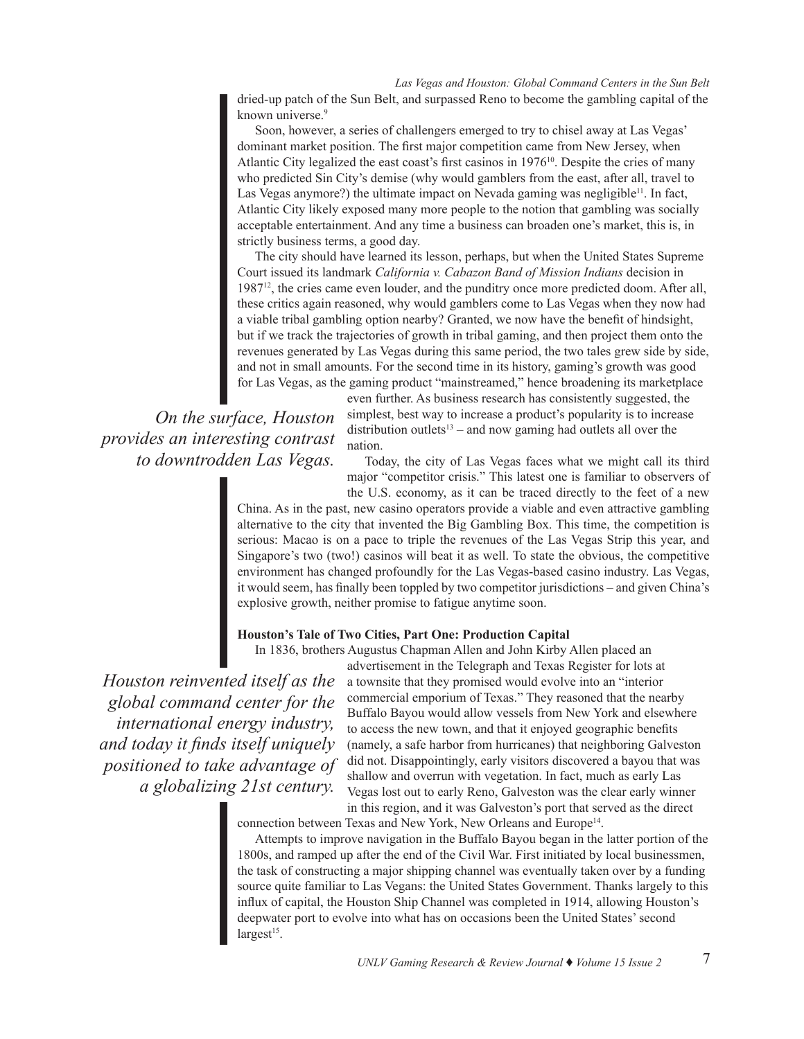*Las Vegas and Houston: Global Command Centers in the Sun Belt* dried-up patch of the Sun Belt, and surpassed Reno to become the gambling capital of the known universe.<sup>9</sup>

Soon, however, a series of challengers emerged to try to chisel away at Las Vegas' dominant market position. The first major competition came from New Jersey, when Atlantic City legalized the east coast's first casinos in  $1976^{10}$ . Despite the cries of many who predicted Sin City's demise (why would gamblers from the east, after all, travel to Las Vegas anymore?) the ultimate impact on Nevada gaming was negligible<sup>11</sup>. In fact, Atlantic City likely exposed many more people to the notion that gambling was socially acceptable entertainment. And any time a business can broaden one's market, this is, in strictly business terms, a good day.

The city should have learned its lesson, perhaps, but when the United States Supreme Court issued its landmark *California v. Cabazon Band of Mission Indians* decision in 198712, the cries came even louder, and the punditry once more predicted doom. After all, these critics again reasoned, why would gamblers come to Las Vegas when they now had a viable tribal gambling option nearby? Granted, we now have the benefit of hindsight, but if we track the trajectories of growth in tribal gaming, and then project them onto the revenues generated by Las Vegas during this same period, the two tales grew side by side, and not in small amounts. For the second time in its history, gaming's growth was good for Las Vegas, as the gaming product "mainstreamed," hence broadening its marketplace

*On the surface, Houston provides an interesting contrast to downtrodden Las Vegas.*

even further. As business research has consistently suggested, the simplest, best way to increase a product's popularity is to increase distribution outlets<sup>13</sup> – and now gaming had outlets all over the nation.

Today, the city of Las Vegas faces what we might call its third major "competitor crisis." This latest one is familiar to observers of the U.S. economy, as it can be traced directly to the feet of a new

China. As in the past, new casino operators provide a viable and even attractive gambling alternative to the city that invented the Big Gambling Box. This time, the competition is serious: Macao is on a pace to triple the revenues of the Las Vegas Strip this year, and Singapore's two (two!) casinos will beat it as well. To state the obvious, the competitive environment has changed profoundly for the Las Vegas-based casino industry. Las Vegas, it would seem, has finally been toppled by two competitor jurisdictions – and given China's explosive growth, neither promise to fatigue anytime soon.

# **Houston's Tale of Two Cities, Part One: Production Capital**

In 1836, brothers Augustus Chapman Allen and John Kirby Allen placed an

*Houston reinvented itself as the global command center for the international energy industry, and today it finds itself uniquely positioned to take advantage of a globalizing 21st century.*

advertisement in the Telegraph and Texas Register for lots at a townsite that they promised would evolve into an "interior commercial emporium of Texas." They reasoned that the nearby Buffalo Bayou would allow vessels from New York and elsewhere to access the new town, and that it enjoyed geographic benefits (namely, a safe harbor from hurricanes) that neighboring Galveston did not. Disappointingly, early visitors discovered a bayou that was shallow and overrun with vegetation. In fact, much as early Las Vegas lost out to early Reno, Galveston was the clear early winner in this region, and it was Galveston's port that served as the direct

connection between Texas and New York, New Orleans and Europe<sup>14</sup>.

Attempts to improve navigation in the Buffalo Bayou began in the latter portion of the 1800s, and ramped up after the end of the Civil War. First initiated by local businessmen, the task of constructing a major shipping channel was eventually taken over by a funding source quite familiar to Las Vegans: the United States Government. Thanks largely to this influx of capital, the Houston Ship Channel was completed in 1914, allowing Houston's deepwater port to evolve into what has on occasions been the United States' second  $largest<sup>15</sup>$ .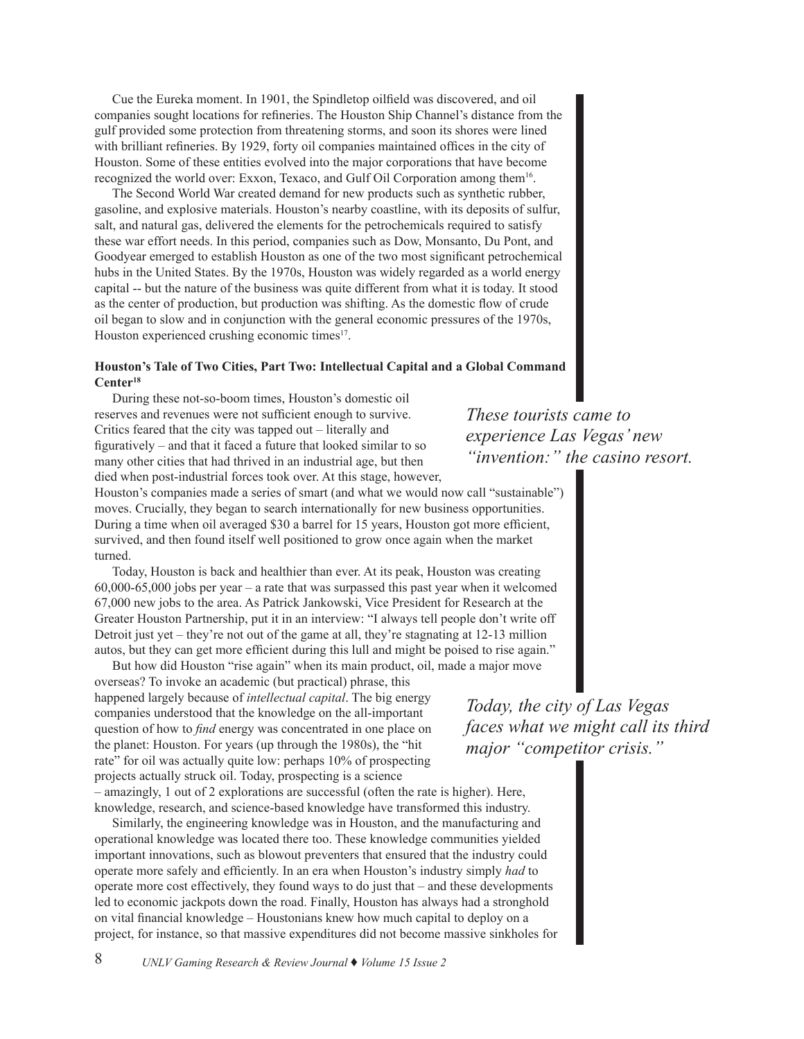Cue the Eureka moment. In 1901, the Spindletop oilfield was discovered, and oil companies sought locations for refineries. The Houston Ship Channel's distance from the gulf provided some protection from threatening storms, and soon its shores were lined with brilliant refineries. By 1929, forty oil companies maintained offices in the city of Houston. Some of these entities evolved into the major corporations that have become recognized the world over: Exxon, Texaco, and Gulf Oil Corporation among them16.

The Second World War created demand for new products such as synthetic rubber, gasoline, and explosive materials. Houston's nearby coastline, with its deposits of sulfur, salt, and natural gas, delivered the elements for the petrochemicals required to satisfy these war effort needs. In this period, companies such as Dow, Monsanto, Du Pont, and Goodyear emerged to establish Houston as one of the two most significant petrochemical hubs in the United States. By the 1970s, Houston was widely regarded as a world energy capital -- but the nature of the business was quite different from what it is today. It stood as the center of production, but production was shifting. As the domestic flow of crude oil began to slow and in conjunction with the general economic pressures of the 1970s, Houston experienced crushing economic times<sup>17</sup>.

## **Houston's Tale of Two Cities, Part Two: Intellectual Capital and a Global Command Center18**

During these not-so-boom times, Houston's domestic oil reserves and revenues were not sufficient enough to survive. Critics feared that the city was tapped out – literally and figuratively – and that it faced a future that looked similar to so many other cities that had thrived in an industrial age, but then died when post-industrial forces took over. At this stage, however,

Houston's companies made a series of smart (and what we would now call "sustainable") moves. Crucially, they began to search internationally for new business opportunities. During a time when oil averaged \$30 a barrel for 15 years, Houston got more efficient, survived, and then found itself well positioned to grow once again when the market turned.

Today, Houston is back and healthier than ever. At its peak, Houston was creating 60,000-65,000 jobs per year – a rate that was surpassed this past year when it welcomed 67,000 new jobs to the area. As Patrick Jankowski, Vice President for Research at the Greater Houston Partnership, put it in an interview: "I always tell people don't write off Detroit just yet – they're not out of the game at all, they're stagnating at 12-13 million autos, but they can get more efficient during this lull and might be poised to rise again."

But how did Houston "rise again" when its main product, oil, made a major move overseas? To invoke an academic (but practical) phrase, this happened largely because of *intellectual capital*. The big energy companies understood that the knowledge on the all-important question of how to *find* energy was concentrated in one place on the planet: Houston. For years (up through the 1980s), the "hit rate" for oil was actually quite low: perhaps 10% of prospecting projects actually struck oil. Today, prospecting is a science – amazingly, 1 out of 2 explorations are successful (often the rate is higher). Here, knowledge, research, and science-based knowledge have transformed this industry.

Similarly, the engineering knowledge was in Houston, and the manufacturing and operational knowledge was located there too. These knowledge communities yielded important innovations, such as blowout preventers that ensured that the industry could operate more safely and efficiently. In an era when Houston's industry simply *had* to operate more cost effectively, they found ways to do just that – and these developments led to economic jackpots down the road. Finally, Houston has always had a stronghold on vital financial knowledge – Houstonians knew how much capital to deploy on a project, for instance, so that massive expenditures did not become massive sinkholes for

*These tourists came to experience Las Vegas' new "invention:" the casino resort.*

*Today, the city of Las Vegas faces what we might call its third major "competitor crisis."*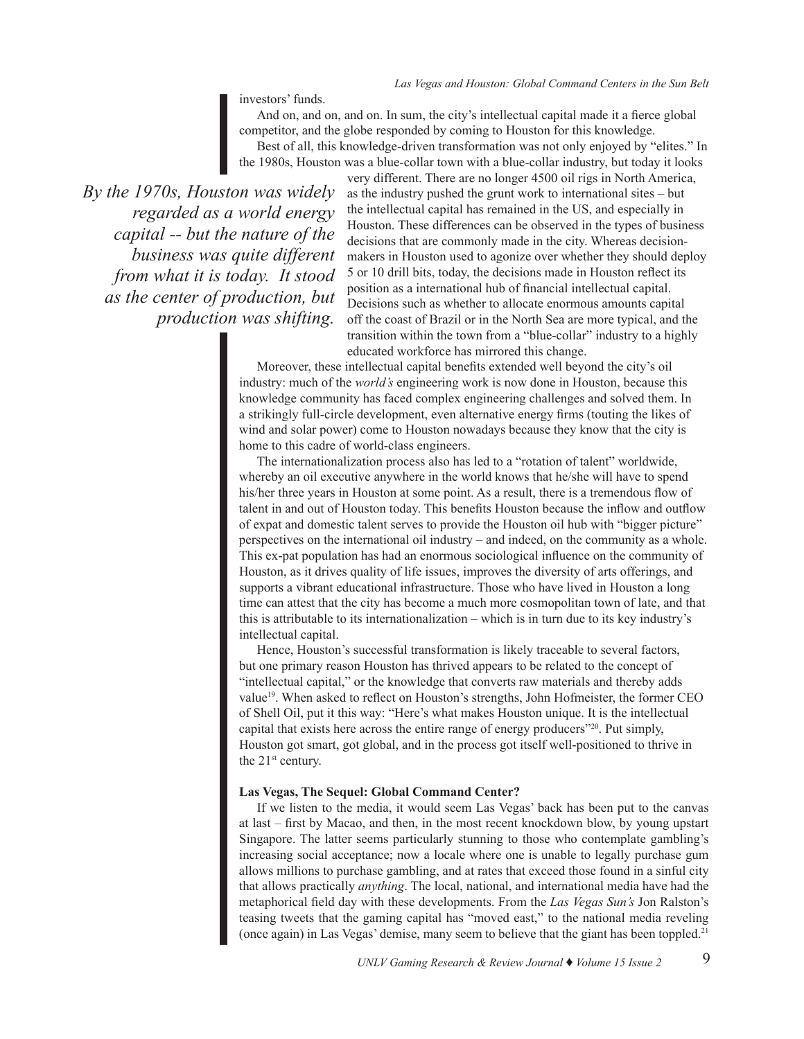investors' funds.

And on, and on, and on. In sum, the city's intellectual capital made it a fierce global competitor, and the globe responded by coming to Houston for this knowledge. Best of all, this knowledge-driven transformation was not only enjoyed by "elites." In the 1980s, Houston was a blue-collar town with a blue-collar industry, but today it looks

*By the 1970s, Houston was widely regarded as a world energy capital -- but the nature of the business was quite different from what it is today. It stood as the center of production, but production was shifting.* 

very different. There are no longer 4500 oil rigs in North America, as the industry pushed the grunt work to international sites – but the intellectual capital has remained in the US, and especially in Houston. These differences can be observed in the types of business decisions that are commonly made in the city. Whereas decisionmakers in Houston used to agonize over whether they should deploy 5 or 10 drill bits, today, the decisions made in Houston reflect its position as a international hub of financial intellectual capital. Decisions such as whether to allocate enormous amounts capital off the coast of Brazil or in the North Sea are more typical, and the transition within the town from a "blue-collar" industry to a highly educated workforce has mirrored this change.

Moreover, these intellectual capital benefits extended well beyond the city's oil industry: much of the *world's* engineering work is now done in Houston, because this knowledge community has faced complex engineering challenges and solved them. In a strikingly full-circle development, even alternative energy firms (touting the likes of wind and solar power) come to Houston nowadays because they know that the city is home to this cadre of world-class engineers.

The internationalization process also has led to a "rotation of talent" worldwide, whereby an oil executive anywhere in the world knows that he/she will have to spend his/her three years in Houston at some point. As a result, there is a tremendous flow of talent in and out of Houston today. This benefits Houston because the inflow and outflow of expat and domestic talent serves to provide the Houston oil hub with "bigger picture" perspectives on the international oil industry – and indeed, on the community as a whole. This ex-pat population has had an enormous sociological influence on the community of Houston, as it drives quality of life issues, improves the diversity of arts offerings, and supports a vibrant educational infrastructure. Those who have lived in Houston a long time can attest that the city has become a much more cosmopolitan town of late, and that this is attributable to its internationalization – which is in turn due to its key industry's intellectual capital.

Hence, Houston's successful transformation is likely traceable to several factors, but one primary reason Houston has thrived appears to be related to the concept of "intellectual capital," or the knowledge that converts raw materials and thereby adds value<sup>19</sup>. When asked to reflect on Houston's strengths, John Hofmeister, the former CEO of Shell Oil, put it this way: "Here's what makes Houston unique. It is the intellectual capital that exists here across the entire range of energy producers"20. Put simply, Houston got smart, got global, and in the process got itself well-positioned to thrive in the 21<sup>st</sup> century.

#### **Las Vegas, The Sequel: Global Command Center?**

If we listen to the media, it would seem Las Vegas' back has been put to the canvas at last – first by Macao, and then, in the most recent knockdown blow, by young upstart Singapore. The latter seems particularly stunning to those who contemplate gambling's increasing social acceptance; now a locale where one is unable to legally purchase gum allows millions to purchase gambling, and at rates that exceed those found in a sinful city that allows practically *anything*. The local, national, and international media have had the metaphorical field day with these developments. From the *Las Vegas Sun's* Jon Ralston's teasing tweets that the gaming capital has "moved east," to the national media reveling (once again) in Las Vegas' demise, many seem to believe that the giant has been toppled.21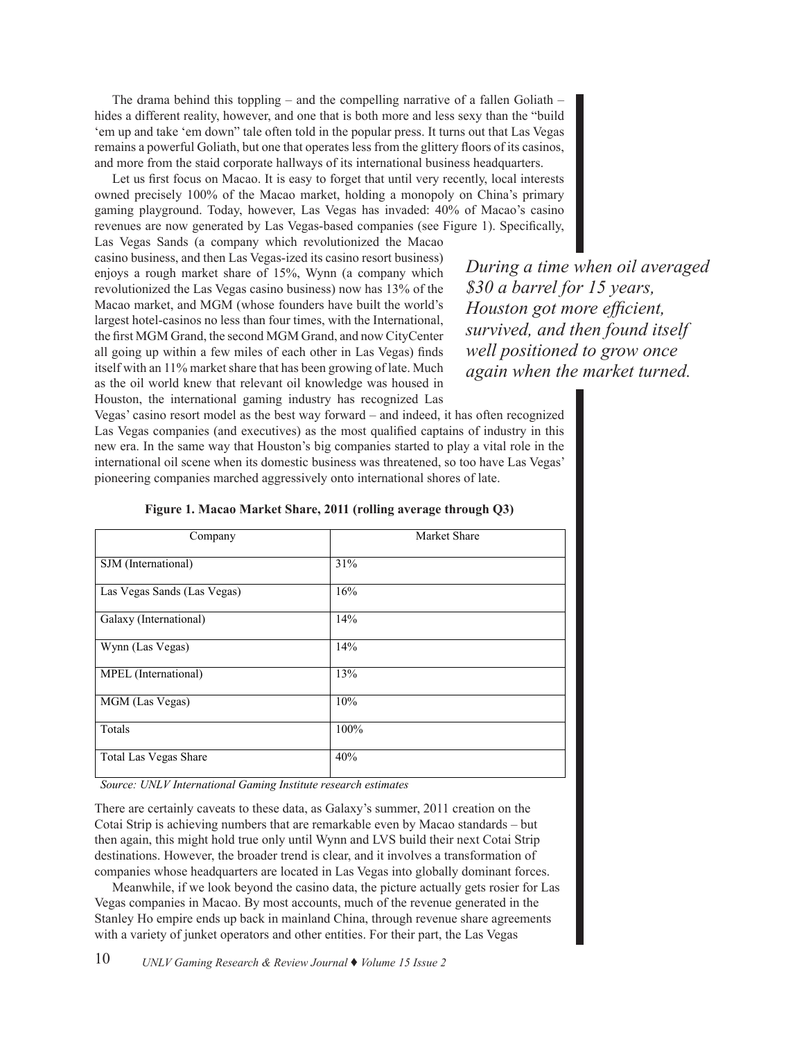The drama behind this toppling – and the compelling narrative of a fallen Goliath – hides a different reality, however, and one that is both more and less sexy than the "build 'em up and take 'em down" tale often told in the popular press. It turns out that Las Vegas remains a powerful Goliath, but one that operates less from the glittery floors of its casinos, and more from the staid corporate hallways of its international business headquarters.

Let us first focus on Macao. It is easy to forget that until very recently, local interests owned precisely 100% of the Macao market, holding a monopoly on China's primary gaming playground. Today, however, Las Vegas has invaded: 40% of Macao's casino revenues are now generated by Las Vegas-based companies (see Figure 1). Specifically,

Las Vegas Sands (a company which revolutionized the Macao casino business, and then Las Vegas-ized its casino resort business) enjoys a rough market share of 15%, Wynn (a company which revolutionized the Las Vegas casino business) now has 13% of the Macao market, and MGM (whose founders have built the world's largest hotel-casinos no less than four times, with the International, the first MGM Grand, the second MGM Grand, and now CityCenter all going up within a few miles of each other in Las Vegas) finds itself with an 11% market share that has been growing of late. Much as the oil world knew that relevant oil knowledge was housed in Houston, the international gaming industry has recognized Las

*During a time when oil averaged \$30 a barrel for 15 years, Houston got more efficient, survived, and then found itself well positioned to grow once again when the market turned.*

Vegas' casino resort model as the best way forward – and indeed, it has often recognized Las Vegas companies (and executives) as the most qualified captains of industry in this new era. In the same way that Houston's big companies started to play a vital role in the international oil scene when its domestic business was threatened, so too have Las Vegas' pioneering companies marched aggressively onto international shores of late.

| Company                      | Market Share |
|------------------------------|--------------|
| SJM (International)          | 31%          |
| Las Vegas Sands (Las Vegas)  | 16%          |
| Galaxy (International)       | 14%          |
| Wynn (Las Vegas)             | 14%          |
| MPEL (International)         | 13%          |
| MGM (Las Vegas)              | 10%          |
| Totals                       | 100%         |
| <b>Total Las Vegas Share</b> | 40%          |

# **Figure 1. Macao Market Share, 2011 (rolling average through Q3)** Figure 1. Macao Market Share, 2011 (rolling average through Q3)

*Source: UNLV International Gaming Institute research estimates*

There are certainly caveats to these data, as Galaxy's summer, 2011 creation on the Cotai Strip is achieving numbers that are remarkable even by Macao standards – but then again, this might hold true only until Wynn and LVS build their next Cotai Strip destinations. However, the broader trend is clear, and it involves a transformation of companies whose headquarters are located in Las Vegas into globally dominant forces.

Meanwhile, if we look beyond the casino data, the picture actually gets rosier for Las Vegas companies in Macao. By most accounts, much of the revenue generated in the Stanley Ho empire ends up back in mainland China, through revenue share agreements with a variety of junket operators and other entities. For their part, the Las Vegas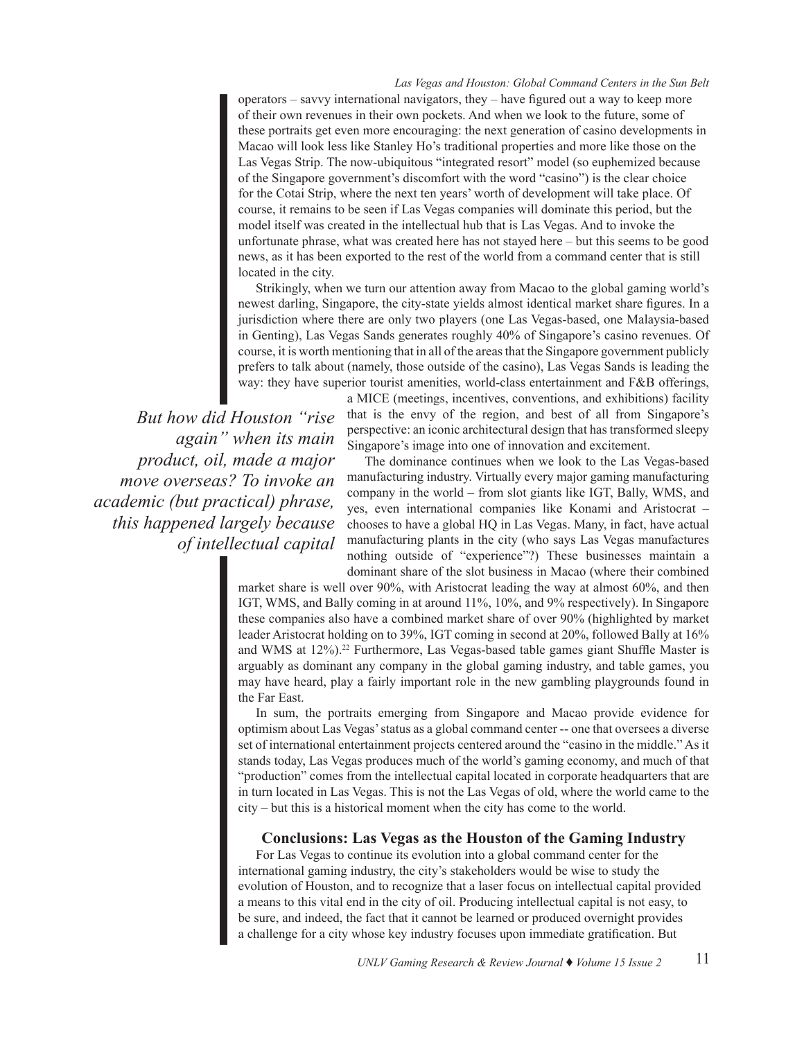#### *Las Vegas and Houston: Global Command Centers in the Sun Belt*

operators – savvy international navigators, they – have figured out a way to keep more of their own revenues in their own pockets. And when we look to the future, some of these portraits get even more encouraging: the next generation of casino developments in Macao will look less like Stanley Ho's traditional properties and more like those on the Las Vegas Strip. The now-ubiquitous "integrated resort" model (so euphemized because of the Singapore government's discomfort with the word "casino") is the clear choice for the Cotai Strip, where the next ten years' worth of development will take place. Of course, it remains to be seen if Las Vegas companies will dominate this period, but the model itself was created in the intellectual hub that is Las Vegas. And to invoke the unfortunate phrase, what was created here has not stayed here – but this seems to be good news, as it has been exported to the rest of the world from a command center that is still located in the city.

Strikingly, when we turn our attention away from Macao to the global gaming world's newest darling, Singapore, the city-state yields almost identical market share figures. In a jurisdiction where there are only two players (one Las Vegas-based, one Malaysia-based in Genting), Las Vegas Sands generates roughly 40% of Singapore's casino revenues. Of course, it is worth mentioning that in all of the areas that the Singapore government publicly prefers to talk about (namely, those outside of the casino), Las Vegas Sands is leading the way: they have superior tourist amenities, world-class entertainment and F&B offerings,

*But how did Houston "rise again" when its main product, oil, made a major move overseas? To invoke an academic (but practical) phrase, this happened largely because of intellectual capital* a MICE (meetings, incentives, conventions, and exhibitions) facility that is the envy of the region, and best of all from Singapore's perspective: an iconic architectural design that has transformed sleepy Singapore's image into one of innovation and excitement.

The dominance continues when we look to the Las Vegas-based manufacturing industry. Virtually every major gaming manufacturing company in the world – from slot giants like IGT, Bally, WMS, and yes, even international companies like Konami and Aristocrat – chooses to have a global HQ in Las Vegas. Many, in fact, have actual manufacturing plants in the city (who says Las Vegas manufactures nothing outside of "experience"?) These businesses maintain a dominant share of the slot business in Macao (where their combined

market share is well over 90%, with Aristocrat leading the way at almost 60%, and then IGT, WMS, and Bally coming in at around 11%, 10%, and 9% respectively). In Singapore these companies also have a combined market share of over 90% (highlighted by market leader Aristocrat holding on to 39%, IGT coming in second at 20%, followed Bally at 16% and WMS at 12%).<sup>22</sup> Furthermore, Las Vegas-based table games giant Shuffle Master is arguably as dominant any company in the global gaming industry, and table games, you may have heard, play a fairly important role in the new gambling playgrounds found in the Far East.

In sum, the portraits emerging from Singapore and Macao provide evidence for optimism about Las Vegas' status as a global command center -- one that oversees a diverse set of international entertainment projects centered around the "casino in the middle." As it stands today, Las Vegas produces much of the world's gaming economy, and much of that "production" comes from the intellectual capital located in corporate headquarters that are in turn located in Las Vegas. This is not the Las Vegas of old, where the world came to the city – but this is a historical moment when the city has come to the world.

# **Conclusions: Las Vegas as the Houston of the Gaming Industry**

For Las Vegas to continue its evolution into a global command center for the international gaming industry, the city's stakeholders would be wise to study the evolution of Houston, and to recognize that a laser focus on intellectual capital provided a means to this vital end in the city of oil. Producing intellectual capital is not easy, to be sure, and indeed, the fact that it cannot be learned or produced overnight provides a challenge for a city whose key industry focuses upon immediate gratification. But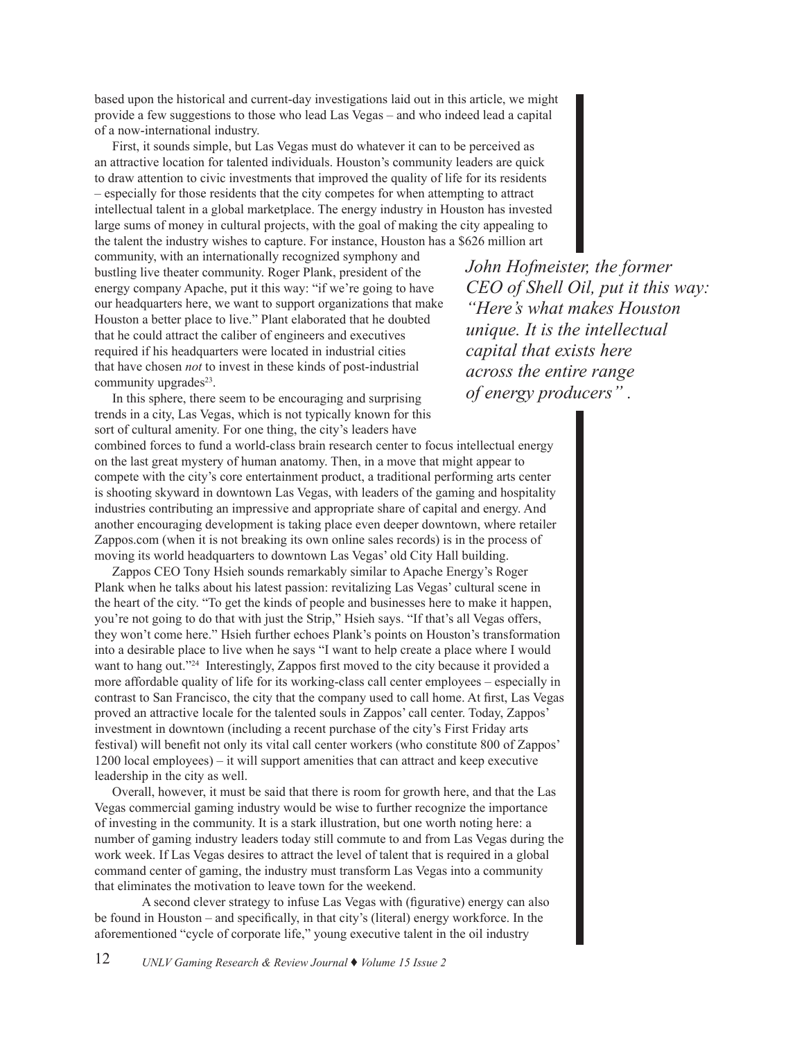based upon the historical and current-day investigations laid out in this article, we might provide a few suggestions to those who lead Las Vegas – and who indeed lead a capital of a now-international industry.

First, it sounds simple, but Las Vegas must do whatever it can to be perceived as an attractive location for talented individuals. Houston's community leaders are quick to draw attention to civic investments that improved the quality of life for its residents – especially for those residents that the city competes for when attempting to attract intellectual talent in a global marketplace. The energy industry in Houston has invested large sums of money in cultural projects, with the goal of making the city appealing to the talent the industry wishes to capture. For instance, Houston has a \$626 million art

community, with an internationally recognized symphony and bustling live theater community. Roger Plank, president of the energy company Apache, put it this way: "if we're going to have our headquarters here, we want to support organizations that make Houston a better place to live." Plant elaborated that he doubted that he could attract the caliber of engineers and executives required if his headquarters were located in industrial cities that have chosen *not* to invest in these kinds of post-industrial community upgrades $23$ .

*John Hofmeister, the former CEO of Shell Oil, put it this way: "Here's what makes Houston unique. It is the intellectual capital that exists here across the entire range of energy producers" .* 

In this sphere, there seem to be encouraging and surprising trends in a city, Las Vegas, which is not typically known for this sort of cultural amenity. For one thing, the city's leaders have combined forces to fund a world-class brain research center to focus intellectual energy on the last great mystery of human anatomy. Then, in a move that might appear to compete with the city's core entertainment product, a traditional performing arts center is shooting skyward in downtown Las Vegas, with leaders of the gaming and hospitality industries contributing an impressive and appropriate share of capital and energy. And another encouraging development is taking place even deeper downtown, where retailer Zappos.com (when it is not breaking its own online sales records) is in the process of moving its world headquarters to downtown Las Vegas' old City Hall building.

Zappos CEO Tony Hsieh sounds remarkably similar to Apache Energy's Roger Plank when he talks about his latest passion: revitalizing Las Vegas' cultural scene in the heart of the city. "To get the kinds of people and businesses here to make it happen, you're not going to do that with just the Strip," Hsieh says. "If that's all Vegas offers, they won't come here." Hsieh further echoes Plank's points on Houston's transformation into a desirable place to live when he says "I want to help create a place where I would want to hang out."24 Interestingly, Zappos first moved to the city because it provided a more affordable quality of life for its working-class call center employees – especially in contrast to San Francisco, the city that the company used to call home. At first, Las Vegas proved an attractive locale for the talented souls in Zappos' call center. Today, Zappos' investment in downtown (including a recent purchase of the city's First Friday arts festival) will benefit not only its vital call center workers (who constitute 800 of Zappos' 1200 local employees) – it will support amenities that can attract and keep executive leadership in the city as well.

Overall, however, it must be said that there is room for growth here, and that the Las Vegas commercial gaming industry would be wise to further recognize the importance of investing in the community. It is a stark illustration, but one worth noting here: a number of gaming industry leaders today still commute to and from Las Vegas during the work week. If Las Vegas desires to attract the level of talent that is required in a global command center of gaming, the industry must transform Las Vegas into a community that eliminates the motivation to leave town for the weekend.

A second clever strategy to infuse Las Vegas with (figurative) energy can also be found in Houston – and specifically, in that city's (literal) energy workforce. In the aforementioned "cycle of corporate life," young executive talent in the oil industry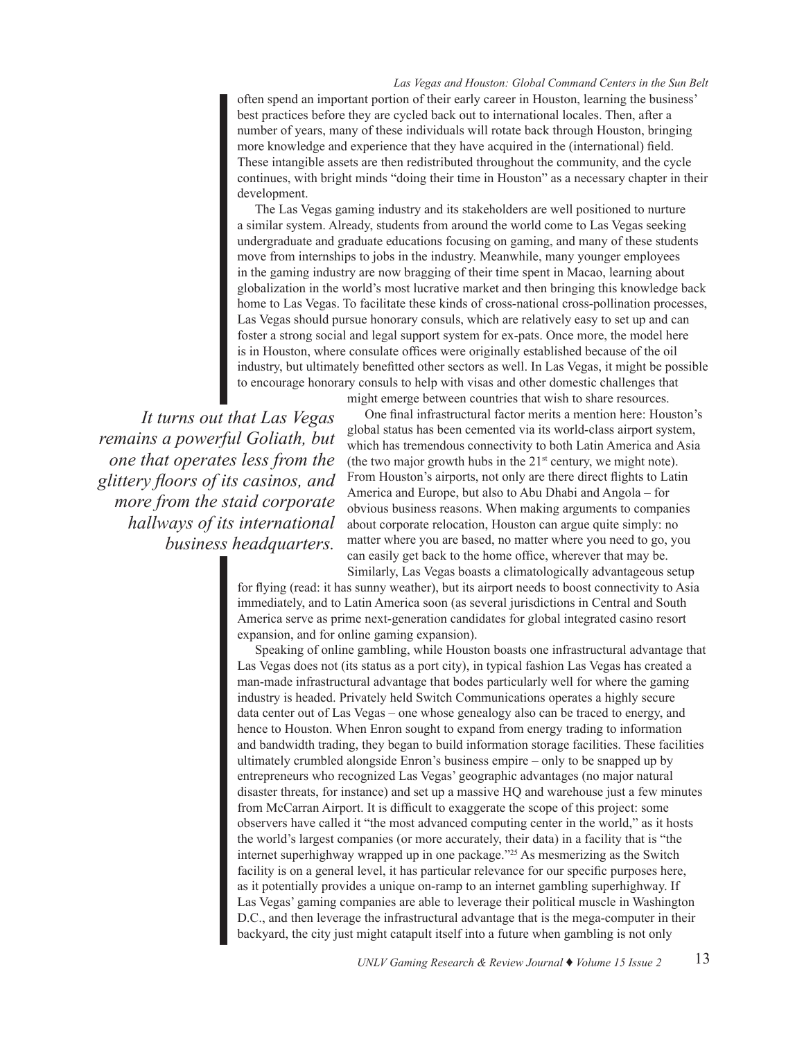*Las Vegas and Houston: Global Command Centers in the Sun Belt*

often spend an important portion of their early career in Houston, learning the business' best practices before they are cycled back out to international locales. Then, after a number of years, many of these individuals will rotate back through Houston, bringing more knowledge and experience that they have acquired in the (international) field. These intangible assets are then redistributed throughout the community, and the cycle continues, with bright minds "doing their time in Houston" as a necessary chapter in their development.

The Las Vegas gaming industry and its stakeholders are well positioned to nurture a similar system. Already, students from around the world come to Las Vegas seeking undergraduate and graduate educations focusing on gaming, and many of these students move from internships to jobs in the industry. Meanwhile, many younger employees in the gaming industry are now bragging of their time spent in Macao, learning about globalization in the world's most lucrative market and then bringing this knowledge back home to Las Vegas. To facilitate these kinds of cross-national cross-pollination processes, Las Vegas should pursue honorary consuls, which are relatively easy to set up and can foster a strong social and legal support system for ex-pats. Once more, the model here is in Houston, where consulate offices were originally established because of the oil industry, but ultimately benefitted other sectors as well. In Las Vegas, it might be possible to encourage honorary consuls to help with visas and other domestic challenges that

might emerge between countries that wish to share resources.

*It turns out that Las Vegas remains a powerful Goliath, but one that operates less from the glittery floors of its casinos, and more from the staid corporate hallways of its international business headquarters.* 

One final infrastructural factor merits a mention here: Houston's global status has been cemented via its world-class airport system, which has tremendous connectivity to both Latin America and Asia (the two major growth hubs in the  $21<sup>st</sup>$  century, we might note). From Houston's airports, not only are there direct flights to Latin America and Europe, but also to Abu Dhabi and Angola – for obvious business reasons. When making arguments to companies about corporate relocation, Houston can argue quite simply: no matter where you are based, no matter where you need to go, you can easily get back to the home office, wherever that may be. Similarly, Las Vegas boasts a climatologically advantageous setup

for flying (read: it has sunny weather), but its airport needs to boost connectivity to Asia immediately, and to Latin America soon (as several jurisdictions in Central and South America serve as prime next-generation candidates for global integrated casino resort expansion, and for online gaming expansion).

Speaking of online gambling, while Houston boasts one infrastructural advantage that Las Vegas does not (its status as a port city), in typical fashion Las Vegas has created a man-made infrastructural advantage that bodes particularly well for where the gaming industry is headed. Privately held Switch Communications operates a highly secure data center out of Las Vegas – one whose genealogy also can be traced to energy, and hence to Houston. When Enron sought to expand from energy trading to information and bandwidth trading, they began to build information storage facilities. These facilities ultimately crumbled alongside Enron's business empire – only to be snapped up by entrepreneurs who recognized Las Vegas' geographic advantages (no major natural disaster threats, for instance) and set up a massive HQ and warehouse just a few minutes from McCarran Airport. It is difficult to exaggerate the scope of this project: some observers have called it "the most advanced computing center in the world," as it hosts the world's largest companies (or more accurately, their data) in a facility that is "the internet superhighway wrapped up in one package."25 As mesmerizing as the Switch facility is on a general level, it has particular relevance for our specific purposes here, as it potentially provides a unique on-ramp to an internet gambling superhighway. If Las Vegas' gaming companies are able to leverage their political muscle in Washington D.C., and then leverage the infrastructural advantage that is the mega-computer in their backyard, the city just might catapult itself into a future when gambling is not only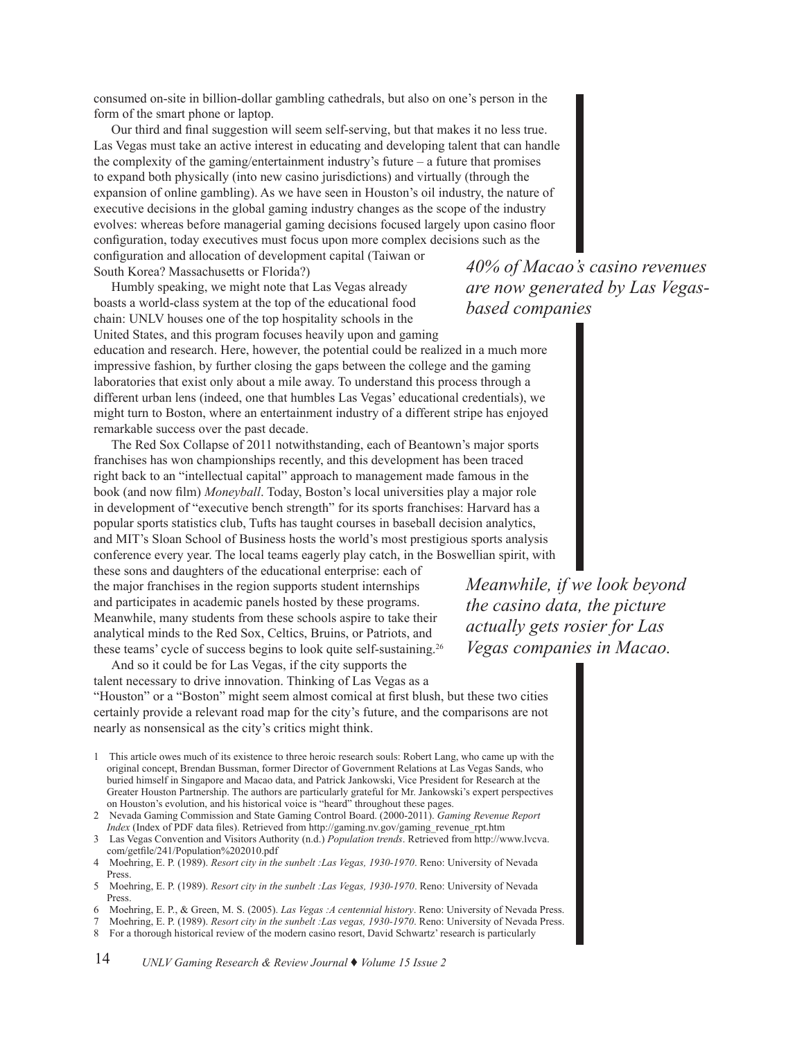consumed on-site in billion-dollar gambling cathedrals, but also on one's person in the form of the smart phone or laptop.

Our third and final suggestion will seem self-serving, but that makes it no less true. Las Vegas must take an active interest in educating and developing talent that can handle the complexity of the gaming/entertainment industry's future – a future that promises to expand both physically (into new casino jurisdictions) and virtually (through the expansion of online gambling). As we have seen in Houston's oil industry, the nature of executive decisions in the global gaming industry changes as the scope of the industry evolves: whereas before managerial gaming decisions focused largely upon casino floor configuration, today executives must focus upon more complex decisions such as the configuration and allocation of development capital (Taiwan or South Korea? Massachusetts or Florida?)

Humbly speaking, we might note that Las Vegas already boasts a world-class system at the top of the educational food chain: UNLV houses one of the top hospitality schools in the United States, and this program focuses heavily upon and gaming

education and research. Here, however, the potential could be realized in a much more impressive fashion, by further closing the gaps between the college and the gaming laboratories that exist only about a mile away. To understand this process through a different urban lens (indeed, one that humbles Las Vegas' educational credentials), we might turn to Boston, where an entertainment industry of a different stripe has enjoyed remarkable success over the past decade.

The Red Sox Collapse of 2011 notwithstanding, each of Beantown's major sports franchises has won championships recently, and this development has been traced right back to an "intellectual capital" approach to management made famous in the book (and now film) *Moneyball*. Today, Boston's local universities play a major role in development of "executive bench strength" for its sports franchises: Harvard has a popular sports statistics club, Tufts has taught courses in baseball decision analytics, and MIT's Sloan School of Business hosts the world's most prestigious sports analysis conference every year. The local teams eagerly play catch, in the Boswellian spirit, with

these sons and daughters of the educational enterprise: each of the major franchises in the region supports student internships and participates in academic panels hosted by these programs. Meanwhile, many students from these schools aspire to take their analytical minds to the Red Sox, Celtics, Bruins, or Patriots, and these teams' cycle of success begins to look quite self-sustaining.<sup>26</sup>

And so it could be for Las Vegas, if the city supports the talent necessary to drive innovation. Thinking of Las Vegas as a "Houston" or a "Boston" might seem almost comical at first blush, but these two cities certainly provide a relevant road map for the city's future, and the comparisons are not nearly as nonsensical as the city's critics might think.

- 1 This article owes much of its existence to three heroic research souls: Robert Lang, who came up with the original concept, Brendan Bussman, former Director of Government Relations at Las Vegas Sands, who buried himself in Singapore and Macao data, and Patrick Jankowski, Vice President for Research at the Greater Houston Partnership. The authors are particularly grateful for Mr. Jankowski's expert perspectives on Houston's evolution, and his historical voice is "heard" throughout these pages.
- 2 Nevada Gaming Commission and State Gaming Control Board. (2000-2011). *Gaming Revenue Report Index* (Index of PDF data files). Retrieved from http://gaming.nv.gov/gaming\_revenue\_rpt.htm
- 3 Las Vegas Convention and Visitors Authority (n.d.) *Population trends*. Retrieved from http://www.lvcva. com/getfile/241/Population%202010.pdf
- 4 Moehring, E. P. (1989). *Resort city in the sunbelt :Las Vegas, 1930-1970*. Reno: University of Nevada Press.
- 5 Moehring, E. P. (1989). *Resort city in the sunbelt :Las Vegas, 1930-1970*. Reno: University of Nevada Press.
- 6 Moehring, E. P., & Green, M. S. (2005). *Las Vegas :A centennial history*. Reno: University of Nevada Press.
- 7 Moehring, E. P. (1989). *Resort city in the sunbelt :Las vegas, 1930-1970*. Reno: University of Nevada Press.
- 8 For a thorough historical review of the modern casino resort, David Schwartz' research is particularly

*40% of Macao's casino revenues are now generated by Las Vegasbased companies* 

*Meanwhile, if we look beyond the casino data, the picture actually gets rosier for Las Vegas companies in Macao.*